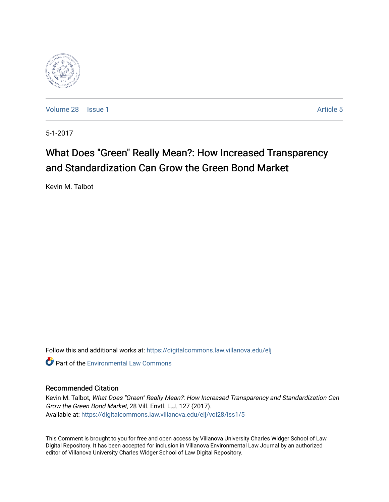

[Volume 28](https://digitalcommons.law.villanova.edu/elj/vol28) | [Issue 1](https://digitalcommons.law.villanova.edu/elj/vol28/iss1) Article 5

5-1-2017

# What Does "Green" Really Mean?: How Increased Transparency and Standardization Can Grow the Green Bond Market

Kevin M. Talbot

Follow this and additional works at: [https://digitalcommons.law.villanova.edu/elj](https://digitalcommons.law.villanova.edu/elj?utm_source=digitalcommons.law.villanova.edu%2Felj%2Fvol28%2Fiss1%2F5&utm_medium=PDF&utm_campaign=PDFCoverPages) 

**Part of the [Environmental Law Commons](http://network.bepress.com/hgg/discipline/599?utm_source=digitalcommons.law.villanova.edu%2Felj%2Fvol28%2Fiss1%2F5&utm_medium=PDF&utm_campaign=PDFCoverPages)** 

# Recommended Citation

Kevin M. Talbot, What Does "Green" Really Mean?: How Increased Transparency and Standardization Can Grow the Green Bond Market, 28 Vill. Envtl. L.J. 127 (2017). Available at: [https://digitalcommons.law.villanova.edu/elj/vol28/iss1/5](https://digitalcommons.law.villanova.edu/elj/vol28/iss1/5?utm_source=digitalcommons.law.villanova.edu%2Felj%2Fvol28%2Fiss1%2F5&utm_medium=PDF&utm_campaign=PDFCoverPages)

This Comment is brought to you for free and open access by Villanova University Charles Widger School of Law Digital Repository. It has been accepted for inclusion in Villanova Environmental Law Journal by an authorized editor of Villanova University Charles Widger School of Law Digital Repository.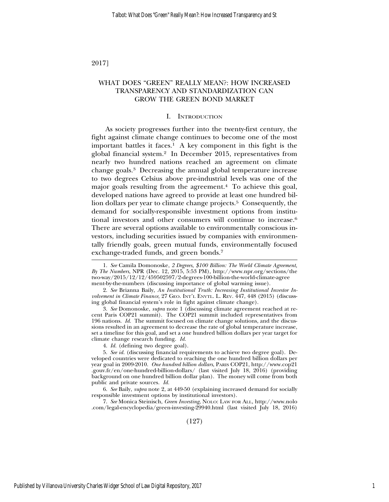2017]

# WHAT DOES "GREEN" REALLY MEAN?: HOW INCREASED TRANSPARENCY AND STANDARDIZATION CAN GROW THE GREEN BOND MARKET

#### I. INTRODUCTION

As society progresses further into the twenty-first century, the fight against climate change continues to become one of the most important battles it faces.1 A key component in this fight is the global financial system.2 In December 2015, representatives from nearly two hundred nations reached an agreement on climate change goals.3 Decreasing the annual global temperature increase to two degrees Celsius above pre-industrial levels was one of the major goals resulting from the agreement.<sup>4</sup> To achieve this goal, developed nations have agreed to provide at least one hundred billion dollars per year to climate change projects.<sup>5</sup> Consequently, the demand for socially-responsible investment options from institutional investors and other consumers will continue to increase.6 There are several options available to environmentally conscious investors, including securities issued by companies with environmentally friendly goals, green mutual funds, environmentally focused exchange-traded funds, and green bonds.7

7. *See* Monica Steinisch, *Green Investing*, NOLO: LAW FOR ALL, http://www.nolo .com/legal-encyclopedia/green-investing-29940.html (last visited July 18, 2016)

<sup>1.</sup> *See* Camila Domonoske, *2 Degrees, \$100 Billion: The World Climate Agreement, By The Numbers*, NPR (Dec. 12, 2015, 5:53 PM), http://www.npr.org/sections/the two-way/2015/12/12/459502597/2-degrees-100-billion-the-world-climate-agree ment-by-the-numbers (discussing importance of global warming issue).

<sup>2.</sup> *See* Brianna Baily, *An Institutional Truth: Increasing Institutional Investor Involvement in Climate Finance*, 27 GEO. INT'L ENVTL. L. REV. 447, 448 (2015) (discussing global financial system's role in fight against climate change).

<sup>3.</sup> *See* Domonoske, *supra* note 1 (discussing climate agreement reached at recent Paris COP21 summit). The COP21 summit included representatives from 196 nations. *Id.* The summit focused on climate change solutions, and the discussions resulted in an agreement to decrease the rate of global temperature increase, set a timeline for this goal, and set a one hundred billion dollars per year target for climate change research funding. *Id.*

<sup>4.</sup> *Id.* (defining two degree goal).

<sup>5.</sup> *See id.* (discussing financial requirements to achieve two degree goal). Developed countries were dedicated to reaching the one hundred billion dollars per year goal in 2009-2010. *One hundred billion dollars*, PARIS COP21, http://www.cop21 .gouv.fr/en/one-hundred-billion-dollars/ (last visited July 18, 2016) (providing background on one hundred billion dollar plan). The money will come from both public and private sources. *Id.*

<sup>6.</sup> *See* Baily, *supra* note 2, at 449-50 (explaining increased demand for socially responsible investment options by institutional investors).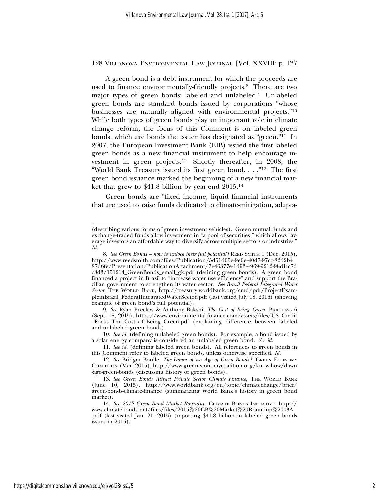A green bond is a debt instrument for which the proceeds are used to finance environmentally-friendly projects.8 There are two major types of green bonds: labeled and unlabeled.9 Unlabeled green bonds are standard bonds issued by corporations "whose businesses are naturally aligned with environmental projects."10 While both types of green bonds play an important role in climate change reform, the focus of this Comment is on labeled green bonds, which are bonds the issuer has designated as "green."11 In 2007, the European Investment Bank (EIB) issued the first labeled green bonds as a new financial instrument to help encourage investment in green projects.12 Shortly thereafter, in 2008, the "World Bank Treasury issued its first green bond. . . ."13 The first green bond issuance marked the beginning of a new financial market that grew to \$41.8 billion by year-end 2015.14

Green bonds are "fixed income, liquid financial instruments that are used to raise funds dedicated to climate-mitigation, adapta-

9. *See* Ryan Preclaw & Anthony Bakshi, *The Cost of Being Green*, BARCLAYS 6 (Sept. 18, 2015), https://www.environmental-finance.com/assets/files/US\_Credit \_Focus\_The\_Cost\_of\_Being\_Green.pdf (explaining difference between labeled and unlabeled green bonds).

10. *See id.* (defining unlabeled green bonds). For example, a bond issued by a solar energy company is considered an unlabeled green bond. *See id.*

11. *See id.* (defining labeled green bonds). All references to green bonds in this Comment refer to labeled green bonds, unless otherwise specified. *Id.*

12. *See* Bridget Boulle, *The Dawn of an Age of Green Bonds?*, GREEN ECONOMY COALITION (Mar. 2015), http://www.greeneconomycoalition.org/know-how/dawn -age-green-bonds (discussing history of green bonds).

13. See Green Bonds Attract Private Sector Climate Finance, THE WORLD BANK (June 10, 2015), http://www.worldbank.org/en/topic/climatechange/brief/ green-bonds-climate-finance (summarizing World Bank's history in green bond market).

14. *See 2015 Green Bond Market Roundup*, CLIMATE BONDS INITIATIVE, http:// www.climatebonds.net/files/files/2015%20GB%20Market%20Roundup%2003A .pdf (last visited Jan. 21, 2015) (reporting \$41.8 billion in labeled green bonds issues in 2015).

<sup>(</sup>describing various forms of green investment vehicles). Green mutual funds and exchange-traded funds allow investment in "a pool of securities," which allows "average investors an affordable way to diversify across multiple sectors or industries." *Id.*

<sup>8.</sup> *See Green Bonds – how to unlock their full potential?* REED SMITH 1 (Dec. 2015), http://www.reedsmith.com/files/Publication/5d51d05e-9e0e-40d7-97cc-82d2b4 87d6fe/Presentation/PublicationAttachment/7e46377e-1d93-4969-9212-98d1fc7d c8d3/151214\_GreenBonds\_email\_gk.pdf (defining green bonds). A green bond financed a project in Brazil to "increase water use efficiency" and support the Brazilian government to strengthen its water sector. *See Brazil Federal Integrated Water Sector*, THE WORLD BANK, http://treasury.worldbank.org/cmd/pdf/ProjectExampleinBrazil\_FederalIntegratedWaterSector.pdf (last visited July 18, 2016) (showing example of green bond's full potential).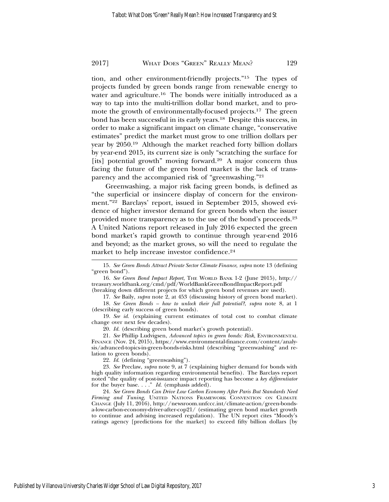tion, and other environment-friendly projects."15 The types of projects funded by green bonds range from renewable energy to water and agriculture.16 The bonds were initially introduced as a way to tap into the multi-trillion dollar bond market, and to promote the growth of environmentally-focused projects.<sup>17</sup> The green bond has been successful in its early years.18 Despite this success, in order to make a significant impact on climate change, "conservative estimates" predict the market must grow to one trillion dollars per year by 2050.19 Although the market reached forty billion dollars by year-end 2015, its current size is only "scratching the surface for [its] potential growth" moving forward.<sup>20</sup> A major concern thus facing the future of the green bond market is the lack of transparency and the accompanied risk of "greenwashing."21

Greenwashing, a major risk facing green bonds, is defined as "the superficial or insincere display of concern for the environment."22 Barclays' report, issued in September 2015, showed evidence of higher investor demand for green bonds when the issuer provided more transparency as to the use of the bond's proceeds.23 A United Nations report released in July 2016 expected the green bond market's rapid growth to continue through year-end 2016 and beyond; as the market grows, so will the need to regulate the market to help increase investor confidence.<sup>24</sup>

16. *See Green Bond Impact Report*, THE WORLD BANK 1-2 (June 2015), http:// treasury.worldbank.org/cmd/pdf/WorldBankGreenBondImpactReport.pdf

(breaking down different projects for which green bond revenues are used).

17. *See* Baily, *supra* note 2, at 453 (discussing history of green bond market). 18. *See Green Bonds – how to unlock their full potential?*, *supra* note 8, at 1

(describing early success of green bonds). 19. *See id.* (explaining current estimates of total cost to combat climate

change over next few decades).

20. *Id.* (describing green bond market's growth potential).

21. *See* Phillip Ludvigsen, *Advanced topics in green bonds: Risk*, ENVIRONMENTAL FINANCE (Nov. 24, 2015), https://www.environmental-finance.com/content/analysis/advanced-topics-in-green-bonds-risks.html (describing "greenwashing" and relation to green bonds).

22. *Id*. (defining "greenwashing").

23. *See* Preclaw, *supra* note 9, at 7 (explaining higher demand for bonds with high quality information regarding environmental benefits). The Barclays report noted "the quality of post-issuance impact reporting has become a *key differentiator* for the buyer base. . . ." *Id.* (emphasis added).

24. *See Green Bonds Can Drive Low Carbon Economy After Paris But Standards Need Firming and Tuning*, UNITED NATIONS FRAMEWORK CONVENTION ON CLIMATE CHANGE (July 11, 2016), http://newsroom.unfccc.int/climate-action/green-bondsa-low-carbon-economy-driver-after-cop21/ (estimating green bond market growth to continue and advising increased regulation). The UN report cites "Moody's ratings agency [predictions for the market] to exceed fifty billion dollars [by

Published by Villanova University Charles Widger School of Law Digital Repository, 2017

3

<sup>15.</sup> *See Green Bonds Attract Private Sector Climate Finance*, *supra* note 13 (defining "green bond").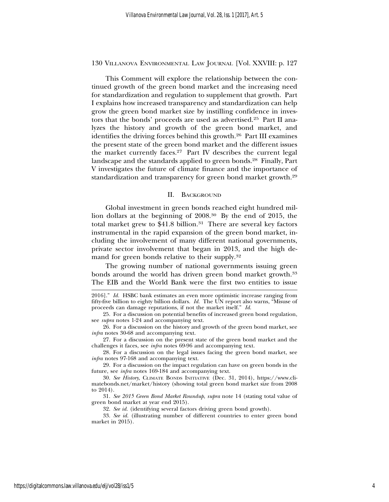This Comment will explore the relationship between the continued growth of the green bond market and the increasing need for standardization and regulation to supplement that growth. Part I explains how increased transparency and standardization can help grow the green bond market size by instilling confidence in investors that the bonds' proceeds are used as advertised.25 Part II analyzes the history and growth of the green bond market, and identifies the driving forces behind this growth.26 Part III examines the present state of the green bond market and the different issues the market currently faces.27 Part IV describes the current legal landscape and the standards applied to green bonds.28 Finally, Part V investigates the future of climate finance and the importance of standardization and transparency for green bond market growth.29

## II. BACKGROUND

Global investment in green bonds reached eight hundred million dollars at the beginning of 2008.30 By the end of 2015, the total market grew to  $$41.8$  billion.<sup>31</sup> There are several key factors instrumental in the rapid expansion of the green bond market, including the involvement of many different national governments, private sector involvement that began in 2013, and the high demand for green bonds relative to their supply.32

The growing number of national governments issuing green bonds around the world has driven green bond market growth.<sup>33</sup> The EIB and the World Bank were the first two entities to issue

27. For a discussion on the present state of the green bond market and the challenges it faces, see *infra* notes 69-96 and accompanying text.

28. For a discussion on the legal issues facing the green bond market, see *infra* notes 97-168 and accompanying text.

29. For a discussion on the impact regulation can have on green bonds in the future, see *infra* notes 169-184 and accompanying text.

30. *See History*, CLIMATE BONDS INITIATIVE (Dec. 31, 2014), https://www.climatebonds.net/market/history (showing total green bond market size from 2008 to 2014).

31. *See 2015 Green Bond Market Roundup*, *supra* note 14 (stating total value of green bond market at year end 2015).

32. *See id.* (identifying several factors driving green bond growth).

33. *See id.* (illustrating number of different countries to enter green bond market in 2015).

<sup>2016].&</sup>quot; *Id.* HSBC bank estimates an even more optimistic increase ranging from fifty-five billion to eighty billion dollars. *Id.* The UN report also warns, "Misuse of proceeds can damage reputations, if not the market itself." *Id.*

<sup>25.</sup> For a discussion on potential benefits of increased green bond regulation, see *supra* notes 1-24 and accompanying text.

<sup>26.</sup> For a discussion on the history and growth of the green bond market, see *infra* notes 30-68 and accompanying text.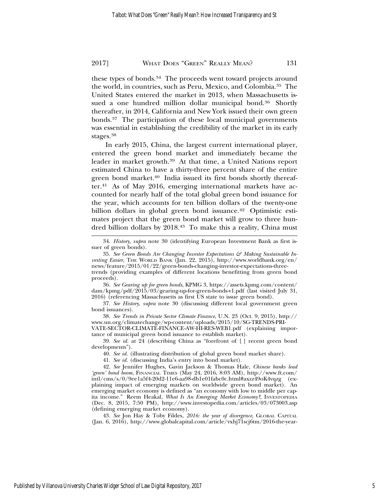these types of bonds.34 The proceeds went toward projects around the world, in countries, such as Peru, Mexico, and Colombia.35 The United States entered the market in 2013, when Massachusetts issued a one hundred million dollar municipal bond.<sup>36</sup> Shortly thereafter, in 2014, California and New York issued their own green bonds.37 The participation of these local municipal governments was essential in establishing the credibility of the market in its early stages.38

In early 2015, China, the largest current international player, entered the green bond market and immediately became the leader in market growth.39 At that time, a United Nations report estimated China to have a thirty-three percent share of the entire green bond market.<sup>40</sup> India issued its first bonds shortly thereafter.41 As of May 2016, emerging international markets have accounted for nearly half of the total global green bond issuance for the year, which accounts for ten billion dollars of the twenty-one billion dollars in global green bond issuance.<sup>42</sup> Optimistic estimates project that the green bond market will grow to three hundred billion dollars by 2018.43 To make this a reality, China must

36. *See Gearing up for green bonds*, KPMG 3, https://assets.kpmg.com/content/ dam/kpmg/pdf/2015/03/gearing-up-for-green-bonds-v1.pdf (last visited July 31, 2016) (referencing Massachusetts as first US state to issue green bond).

37. *See History*, *supra* note 30 (discussing different local government green bond issuances).

38. *See Trends in Private Sector Climate Finance*, U.N. 23 (Oct. 9, 2015), http:// www.un.org/climatechange/wp-content/uploads/2015/10/SG-TRENDS-PRI-VATE-SECTOR-CLIMATE-FINANCE-AW-HI-RES-WEB1.pdf (explaining importance of municipal green bond issuance to establish market).

39. *See id.* at 24 (describing China as "forefront of [ ] recent green bond developments").

40. *See id.* (illustrating distribution of global green bond market share).

41. *See id.* (discussing India's entry into bond market).

43. *See* Jon Hay & Toby Fildes, *2016: the year of divergence*, GLOBAL CAPITAL (Jan. 6, 2016), http://www.globalcapital.com/article/vxhj71scj6tm/2016-the-year-

<sup>34.</sup> *History*, *supra* note 30 (identifying European Investment Bank as first issuer of green bonds).

<sup>35.</sup> *See Green Bonds Are Changing Investor Expectations & Making Sustainable Investing Easier*, THE WORLD BANK (Jan. 22, 2015), http://www.worldbank.org/en/ news/feature/2015/01/22/green-bonds-changing-investor-expectations-threetrends (providing examples of different locations benefitting from green bond proceeds).

<sup>42.</sup> *See* Jennifer Hughes, Gavin Jackson & Thomas Hale, *Chinese banks lead 'green' bond boom*, FINANCIAL TIMES (May 24, 2016, 8:03 AM), http://www.ft.com/ intl/cms/s/0/9ee1a5f4-20d2-11e6-aa98-db1e01fabc0c.html#axzz49oK4vqzg (explaining impact of emerging markets on worldwide green bond market). An emerging market economy is defined as "an economy with low to middle per capita income." Reem Heakal, *What Is An Emerging Market Economy?*, INVESTOPEDIA (Dec. 8, 2015, 7:50 PM), http://www.investopedia.com/articles/03/073003.asp (defining emerging market economy).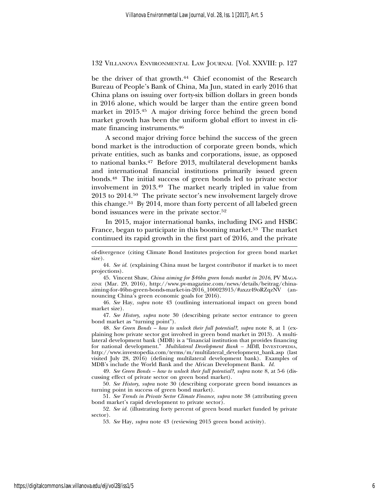be the driver of that growth.<sup>44</sup> Chief economist of the Research Bureau of People's Bank of China, Ma Jun, stated in early 2016 that China plans on issuing over forty-six billion dollars in green bonds in 2016 alone, which would be larger than the entire green bond market in 2015.45 A major driving force behind the green bond market growth has been the uniform global effort to invest in climate financing instruments.46

A second major driving force behind the success of the green bond market is the introduction of corporate green bonds, which private entities, such as banks and corporations, issue, as opposed to national banks.47 Before 2013, multilateral development banks and international financial institutions primarily issued green bonds.48 The initial success of green bonds led to private sector involvement in 2013.49 The market nearly tripled in value from 2013 to 2014.50 The private sector's new involvement largely drove this change.51 By 2014, more than forty percent of all labeled green bond issuances were in the private sector.<sup>52</sup>

In 2015, major international banks, including ING and HSBC France, began to participate in this booming market.<sup>53</sup> The market continued its rapid growth in the first part of 2016, and the private

45. Vincent Shaw, *China aiming for \$46bn green bonds market in 2016*, PV MAGA-ZINE (Mar. 29, 2016), http://www.pv-magazine.com/news/details/beitrag/chinaaiming-for-46bn-green-bonds-market-in-2016\_100023915/#axzz49oRZqzNV (announcing China's green economic goals for 2016).

46. *See* Hay, *supra* note 43 (outlining international impact on green bond market size).

47. *See History*, *supra* note 30 (describing private sector entrance to green bond market as "turning point").

48. *See Green Bonds – how to unlock their full potential?*, *supra* note 8, at 1 (explaining how private sector got involved in green bond market in 2013). A multilateral development bank (MDB) is a "financial institution that provides financing for national development." *Multilateral Development Bank – MDB*, INVESTOPEDIA, http://www.investopedia.com/terms/m/multilateral\_development\_bank.asp (last visited July 28, 2016) (defining multilateral development bank). Examples of MDB's include the World Bank and the African Development Bank. *Id.*

49. *See Green Bonds – how to unlock their full potential?*, *supra* note 8, at 5-6 (discussing effect of private sector on green bond market).

50. *See History*, *supra* note 30 (describing corporate green bond issuances as turning point in success of green bond market).

51. *See Trends in Private Sector Climate Finance*, *supra* note 38 (attributing green bond market's rapid development to private sector).

52. *See id.* (illustrating forty percent of green bond market funded by private sector).

53. *See* Hay, *supra* note 43 (reviewing 2015 green bond activity).

of-divergence (citing Climate Bond Institutes projection for green bond market size).

<sup>44.</sup> *See id.* (explaining China must be largest contributor if market is to meet projections).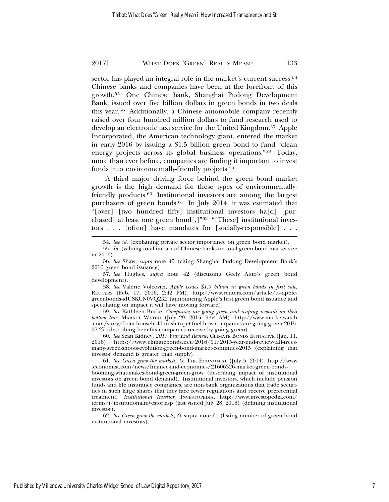sector has played an integral role in the market's current success.<sup>54</sup> Chinese banks and companies have been at the forefront of this growth.55 One Chinese bank, Shanghai Pudong Development Bank, issued over five billion dollars in green bonds in two deals this year.56 Additionally, a Chinese automobile company recently raised over four hundred million dollars to fund research used to develop an electronic taxi service for the United Kingdom.57 Apple Incorporated, the American technology giant, entered the market in early 2016 by issuing a \$1.5 billion green bond to fund "clean energy projects across its global business operations."58 Today, more than ever before, companies are finding it important to invest funds into environmentally-friendly projects.59

A third major driving force behind the green bond market growth is the high demand for these types of environmentallyfriendly products.60 Institutional investors are among the largest purchasers of green bonds.61 In July 2014, it was estimated that "[over] [two hundred fifty] institutional investors ha[d] [purchased] at least one green bond[.]"62 "[These] institutional investors . . . [often] have mandates for [socially-responsible] . . .

58. *See* Valerie Volcovici, *Apple issues \$1.5 billion in green bonds in first sale*, REUTERS (Feb. 17, 2016, 2:42 PM), http://www.reuters.com/article/us-applegreenbonds-idUSKCN0VQ2K2 (announcing Apple's first green bond issuance and speculating on impact it will have moving forward).

59. *See* Kathleen Burke, *Companies are going green and reaping rewards on their bottom line*, MARKET WATCH (July 29, 2015, 9:54 AM), http://www.marketwatch .com/story/from-household-trash-to-jet-fuel-how-companies-are-going-green-2015- 07-27 (describing benefits companies receive by going green).

60. *See* Sean Kidney, *2015 Year End Review*, CLIMATE BONDS INITIATIVE (Jan. 11, 2016), https://www.climatebonds.net/2016/01/2015-year-end-review-tall-treesmany-green-shoots-evolution-green-bond-market-continues-2015 (explaining that investor demand is greater than supply).

61. *See Green grow the markets, O*, THE ECONOMIST (July 5, 2014), http://www .economist.com/news/finance-and-economics/21606326-market-green-bonds-

booming-what-makes-bond-green-green-grow (describing impact of institutional investors on green bond demand). Institutional investors, which include pension funds and life insurance companies, are non-bank organizations that trade securities in such large shares that they face fewer regulations and receive preferential treatment. *Institutional Investor*, INVESTOPEDIA, http://www.investopedia.com/ terms/i/institutionalinvestor.asp (last visited July 28, 2016) (defining institutional investor).

62. *See Green grow the markets, O*, supra note 61 (listing number of green bond institutional investors).

<sup>54.</sup> *See id.* (explaining private sector importance on green bond market).

<sup>55.</sup> *Id.* (valuing total impact of Chinese banks on total green bond market size in 2016).

<sup>56.</sup> *See* Shaw, *supra* note 45 (citing Shanghai Pudong Development Bank's 2016 green bond issuance).

<sup>57.</sup> *See* Hughes, *supra* note 42 (discussing Geely Auto's green bond development).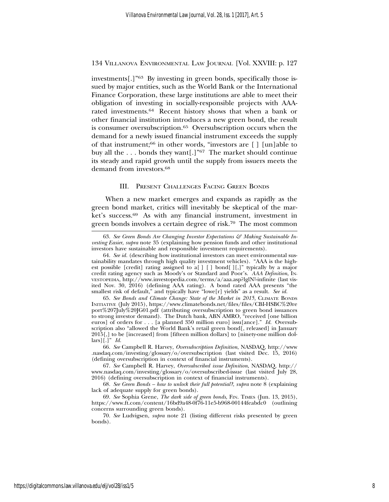investments[.]"63 By investing in green bonds, specifically those issued by major entities, such as the World Bank or the International Finance Corporation, these large institutions are able to meet their obligation of investing in socially-responsible projects with AAArated investments.64 Recent history shows that when a bank or other financial institution introduces a new green bond, the result is consumer oversubscription.<sup>65</sup> Oversubscription occurs when the demand for a newly issued financial instrument exceeds the supply of that instrument;<sup>66</sup> in other words, "investors are  $\lceil \cdot \rceil$  [un]able to buy all the . . . bonds they want[.]"67 The market should continue its steady and rapid growth until the supply from issuers meets the demand from investors.68

## III. PRESENT CHALLENGES FACING GREEN BONDS

When a new market emerges and expands as rapidly as the green bond market, critics will inevitably be skeptical of the market's success.69 As with any financial instrument, investment in green bonds involves a certain degree of risk.70 The most common

66. *See* Campbell R. Harvey, *Oversubscription Definition*, NASDAQ, http://www .nasdaq.com/investing/glossary/o/oversubscription (last visited Dec. 15, 2016) (defining oversubscription in context of financial instruments).

<sup>63.</sup> *See Green Bonds Are Changing Investor Expectations & Making Sustainable Investing Easier*, *supra* note 35 (explaining how pension funds and other institutional investors have sustainable and responsible investment requirements).

<sup>64.</sup> *See id.* (describing how institutional investors can meet environmental sustainability mandates through high quality investment vehicles). "AAA is the highest possible [credit] rating assigned to a[ ] [ ] bond[ ][,]" typically by a major credit rating agency such as Moody's or Standard and Poor's. *AAA Definition*, INvEsторEDIA, http://www.investopedia.com/terms/a/aaa.asp?lgl№-infinite (last visited Nov. 30, 2016) (defining AAA rating). A bond rated AAA presents "the smallest risk of default," and typically have "lowe[r] yields" as a result. *See id.*

<sup>65.</sup> *See Bonds and Climate Change: State of the Market in 2015*, CLIMATE BONDS INITIATIVE (July 2015), https://www.climatebonds.net/files/files/CBI-HSBC%20re port%207July%20JG01.pdf (attributing oversubscription to green bond issuances to strong investor demand). The Dutch bank, ABN AMRO, "received [one billion euros] of orders for . . . [a planned 350 million euro] issu[ance]." *Id.* Oversubscription also "allowed the World Bank's retail green bond[, released] in January 2015[,] to be [increased] from [fifteen million dollars] to [ninety-one million dollars][.]" *Id.*

<sup>67.</sup> *See* Campbell R. Harvey, *Oversubscribed issue Definition*, NASDAQ, http:// www.nasdaq.com/investing/glossary/o/oversubscribed-issue (last visited July 28, 2016) (defining oversubscription in context of financial instruments).

<sup>68.</sup> *See Green Bonds – how to unlock their full potential?*, *supra* note 8 (explaining lack of adequate supply for green bonds).

<sup>69.</sup> *See* Sophia Grene, *The dark side of green bonds*, FIN. TIMES (Jun. 13, 2015), https://www.ft.com/content/16bd9a48-0f76-11e5-b968-00144feabdc0 (outlining concerns surrounding green bonds).

<sup>70.</sup> *See* Ludvigsen, *supra* note 21 (listing different risks presented by green bonds).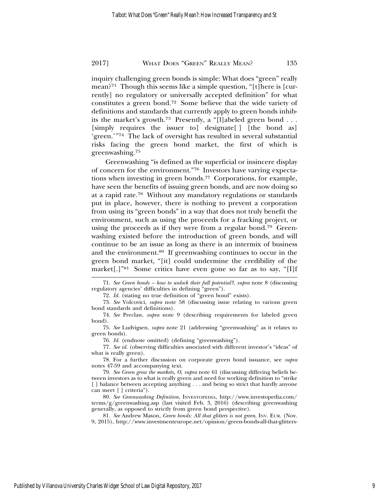inquiry challenging green bonds is simple: What does "green" really mean?71 Though this seems like a simple question, "[t]here is [currently] no regulatory or universally accepted definition" for what constitutes a green bond.72 Some believe that the wide variety of definitions and standards that currently apply to green bonds inhibits the market's growth.<sup>73</sup> Presently, a "[l]abeled green bond . . . [simply requires the issuer to] designate[ ] [the bond as] 'green.'"74 The lack of oversight has resulted in several substantial risks facing the green bond market, the first of which is greenwashing.75

Greenwashing "is defined as the superficial or insincere display of concern for the environment."76 Investors have varying expectations when investing in green bonds.77 Corporations, for example, have seen the benefits of issuing green bonds, and are now doing so at a rapid rate.78 Without any mandatory regulations or standards put in place, however, there is nothing to prevent a corporation from using its "green bonds" in a way that does not truly benefit the environment, such as using the proceeds for a fracking project, or using the proceeds as if they were from a regular bond.<sup>79</sup> Greenwashing existed before the introduction of green bonds, and will continue to be an issue as long as there is an intermix of business and the environment.80 If greenwashing continues to occur in the green bond market, "[it] could undermine the credibility of the market[.]"<sup>81</sup> Some critics have even gone so far as to say, "[I]f

<sup>71.</sup> *See Green bonds – how to unlock their full potential?*, *supra* note 8 (discussing regulatory agencies' difficulties in defining "green").

<sup>72.</sup> *Id.* (stating no true definition of "green bond" exists).

<sup>73.</sup> *See* Volcovici, *supra* note 58 (discussing issue relating to various green bond standards and definitions).

<sup>74.</sup> *See* Preclaw, *supra* note 9 (describing requirements for labeled green bond).

<sup>75.</sup> *See* Ludvigsen, *supra* note 21 (addressing "greenwashing" as it relates to green bonds).

<sup>76.</sup> *Id.* (endnote omitted) (defining "greenwashing").

<sup>77.</sup> *See id.* (observing difficulties associated with different investor's "ideas" of what is really green).

<sup>78.</sup> For a further discussion on corporate green bond issuance, see *supra* notes 47-59 and accompanying text.

<sup>79.</sup> *See Green grow the markets, O*, *supra* note 61 (discussing differing beliefs between investors as to what is really green and need for working definition to "strike [ ] balance between accepting anything . . . and being so strict that hardly anyone can meet [ ] criteria").

<sup>80.</sup> *See Greenwashing Definition*, INVESTOPEDIA, http://www.investopedia.com/ terms/g/greenwashing.asp (last visited Feb. 3, 2016) (describing greenwashing generally, as opposed to strictly from green bond perspective).

<sup>81.</sup> *See* Andrew Mason, *Green bonds: All that glitters is not green*, INV. EUR. (Nov. 9, 2015), http://www.investmenteurope.net/opinion/green-bonds-all-that-glitters-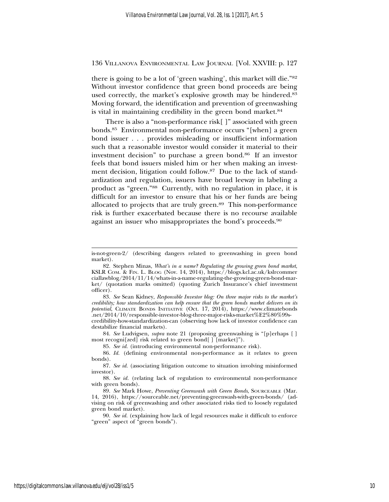there is going to be a lot of 'green washing', this market will die."82 Without investor confidence that green bond proceeds are being used correctly, the market's explosive growth may be hindered.<sup>83</sup> Moving forward, the identification and prevention of greenwashing is vital in maintaining credibility in the green bond market.<sup>84</sup>

There is also a "non-performance risk[ ]" associated with green bonds.85 Environmental non-performance occurs "[when] a green bond issuer . . . provides misleading or insufficient information such that a reasonable investor would consider it material to their investment decision" to purchase a green bond.86 If an investor feels that bond issuers misled him or her when making an investment decision, litigation could follow.87 Due to the lack of standardization and regulation, issuers have broad leeway in labeling a product as "green."88 Currently, with no regulation in place, it is difficult for an investor to ensure that his or her funds are being allocated to projects that are truly green.89 This non-performance risk is further exacerbated because there is no recourse available against an issuer who misappropriates the bond's proceeds.90

83. *See* Sean Kidney, *Responsible Investor blog: On three major risks to the market's credibility; how standardization can help ensure that the green bonds market delivers on its potential*, CLIMATE BONDS INITIATIVE (Oct. 17, 2014), https://www.climatebonds .net/2014/10/responsible-investor-blog-three-major-risks-market%E2%80%99scredibility-how-standardization-can (observing how lack of investor confidence can

destabilize financial markets). 84. *See* Ludvigsen, *supra* note 21 (proposing greenwashing is "[p]erhaps [ ] most recogni[zed] risk related to green bond[ ] [market]").

85. *See id.* (introducing environmental non-performance risk).

86. *Id.* (defining environmental non-performance as it relates to green bonds).

87. *See id.* (associating litigation outcome to situation involving misinformed investor).

88. *See id.* (relating lack of regulation to environmental non-performance with green bonds).

89. *See* Mark Howe, *Preventing Greenwash with Green Bonds*, SOURCEABLE (Mar. 14, 2016), https://sourceable.net/preventing-greenwash-with-green-bonds/ (advising on risk of greenwashing and other associated risks tied to loosely regulated green bond market).

90. *See id.* (explaining how lack of legal resources make it difficult to enforce "green" aspect of "green bonds").

is-not-green-2/ (describing dangers related to greenwashing in green bond market).

<sup>82.</sup> Stephen Minas, *What's in a name? Regulating the growing green bond market*, KSLR COM. & FIN. L. BLOG (Nov. 14, 2014), https://blogs.kcl.ac.uk/kslrcommer ciallawblog/2014/11/14/whats-in-a-name-regulating-the-growing-green-bond-market/ (quotation marks omitted) (quoting Zurich Insurance's chief investment officer).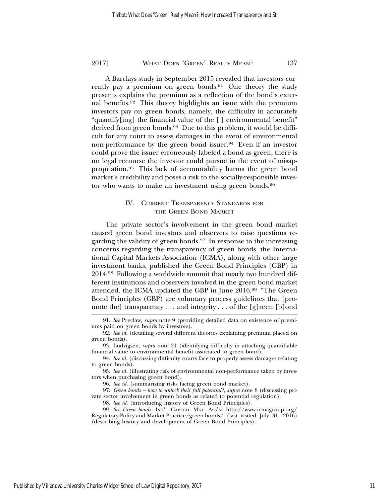A Barclays study in September 2015 revealed that investors currently pay a premium on green bonds.<sup>91</sup> One theory the study presents explains the premium as a reflection of the bond's external benefits.92 This theory highlights an issue with the premium investors pay on green bonds, namely, the difficulty in accurately "quantify[ing] the financial value of the [ ] environmental benefit" derived from green bonds.<sup>93</sup> Due to this problem, it would be difficult for any court to assess damages in the event of environmental non-performance by the green bond issuer.<sup>94</sup> Even if an investor could prove the issuer erroneously labeled a bond as green, there is no legal recourse the investor could pursue in the event of misappropriation.95 This lack of accountability harms the green bond market's credibility and poses a risk to the socially-responsible investor who wants to make an investment using green bonds.96

# IV. CURRENT TRANSPARENCY STANDARDS FOR THE GREEN BOND MARKET

The private sector's involvement in the green bond market caused green bond investors and observers to raise questions regarding the validity of green bonds.<sup>97</sup> In response to the increasing concerns regarding the transparency of green bonds, the International Capital Markets Association (ICMA), along with other large investment banks, published the Green Bond Principles (GBP) in 2014.98 Following a worldwide summit that nearly two hundred different institutions and observers involved in the green bond market attended, the ICMA updated the GBP in June 2016.99 "The Green Bond Principles (GBP) are voluntary process guidelines that [promote the transparency  $\dots$  and integrity  $\dots$  of the [g]reen [b]ond

<sup>91.</sup> *See* Preclaw, *supra* note 9 (providing detailed data on existence of premiums paid on green bonds by investors).

<sup>92.</sup> *See id.* (detailing several different theories explaining premium placed on green bonds).

<sup>93.</sup> Ludvigsen, *supra* note 21 (identifying difficulty in attaching quantifiable financial value to environmental benefit associated to green bond).

<sup>94.</sup> *See id.* (discussing difficulty courts face to properly assess damages relating to green bonds).

<sup>95.</sup> *See id.* (illustrating risk of environmental non-performance taken by investors when purchasing green bond).

<sup>96.</sup> *See id.* (summarizing risks facing green bond market).

<sup>97.</sup> *Green bonds – how to unlock their full potential?*, *supra* note 8 (discussing private sector involvement in green bonds as related to potential regulation).

<sup>98.</sup> *See id.* (introducing history of Green Bond Principles).

<sup>99.</sup> *See Green bonds*, INT'L CAPITAL MKT. ASS'N, http://www.icmagroup.org/ Regulatory-Policy-and-Market-Practice/green-bonds/ (last visited July 31, 2016) (describing history and development of Green Bond Principles).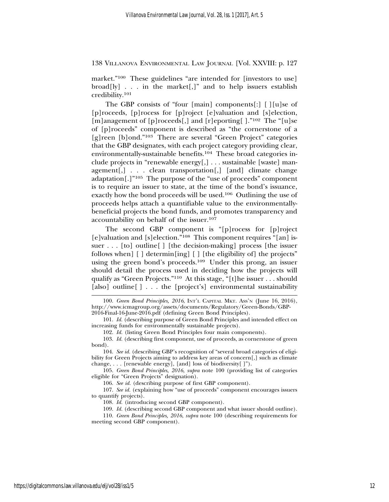market."<sup>100</sup> These guidelines "are intended for [investors to use] broad[ly] . . . in the market[,]" and to help issuers establish credibility.101

The GBP consists of "four [main] components[:] [ ][u]se of [p]roceeds, [p]rocess for [p]roject [e]valuation and [s]election, [m]anagement of [p]roceeds[,] and [r]eporting[ ]."102 The "[u]se of [p]roceeds" component is described as "the cornerstone of a [g]reen [b]ond."103 There are several "Green Project" categories that the GBP designates, with each project category providing clear, environmentally-sustainable benefits.104 These broad categories include projects in "renewable energy[,] . . . sustainable [waste] management[,] . . . clean transportation[,] [and] climate change adaptation[.]"105 The purpose of the "use of proceeds" component is to require an issuer to state, at the time of the bond's issuance, exactly how the bond proceeds will be used.106 Outlining the use of proceeds helps attach a quantifiable value to the environmentallybeneficial projects the bond funds, and promotes transparency and accountability on behalf of the issuer.107

The second GBP component is "[p]rocess for [p]roject [e]valuation and [s]election."108 This component requires "[an] issuer . . . [to] outline[ ] [the decision-making] process [the issuer follows when] [ ] determin[ing] [ ] [the eligibility of] the projects" using the green bond's proceeds.109 Under this prong, an issuer should detail the process used in deciding how the projects will qualify as "Green Projects."110 At this stage, "[t]he issuer . . . should [also] outline<sup>[]</sup> . . . the [project's] environmental sustainability

<sup>100.</sup> *Green Bond Principles, 2016*, INT'L CAPITAL MKT. ASS'N (June 16, 2016), http://www.icmagroup.org/assets/documents/Regulatory/Green-Bonds/GBP-2016-Final-16-June-2016.pdf (defining Green Bond Principles).

<sup>101.</sup> *Id.* (describing purpose of Green Bond Principles and intended effect on increasing funds for environmentally sustainable projects).

<sup>102.</sup> *Id.* (listing Green Bond Principles four main components).

<sup>103.</sup> *Id.* (describing first component, use of proceeds, as cornerstone of green bond).

<sup>104.</sup> *See id.* (describing GBP's recognition of "several broad categories of eligibility for Green Projects aiming to address key areas of concern[,] such as climate change, . . . [renewable energy], [and] loss of biodiversity[ ]").

<sup>105.</sup> *Green Bond Principles, 2016*, *supra* note 100 (providing list of categories eligible for "Green Projects" designation).

<sup>106.</sup> *See id.* (describing purpose of first GBP component).

<sup>107.</sup> *See id.* (explaining how "use of proceeds" component encourages issuers to quantify projects).

<sup>108.</sup> *Id.* (introducing second GBP component).

<sup>109.</sup> *Id.* (describing second GBP component and what issuer should outline).

<sup>110.</sup> *Green Bond Principles, 2016*, *supra* note 100 (describing requirements for meeting second GBP component).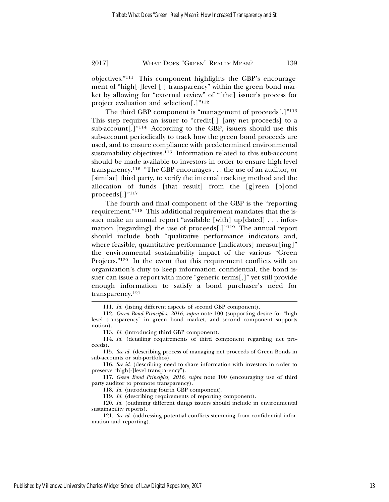objectives."111 This component highlights the GBP's encouragement of "high[-]level [ ] transparency" within the green bond market by allowing for "external review" of "[the] issuer's process for project evaluation and selection[.]"112

The third GBP component is "management of proceeds[.]"<sup>113</sup> This step requires an issuer to "credit[ ] [any net proceeds] to a sub-account[.] $"114$  According to the GBP, issuers should use this sub-account periodically to track how the green bond proceeds are used, and to ensure compliance with predetermined environmental sustainability objectives.<sup>115</sup> Information related to this sub-account should be made available to investors in order to ensure high-level transparency.116 "The GBP encourages . . . the use of an auditor, or [similar] third party, to verify the internal tracking method and the allocation of funds [that result] from the [g]reen [b]ond proceeds[.]"117

The fourth and final component of the GBP is the "reporting requirement."118 This additional requirement mandates that the issuer make an annual report "available [with] up[dated] . . . information [regarding] the use of proceeds[.]"119 The annual report should include both "qualitative performance indicators and, where feasible, quantitative performance [indicators] measur[ing]" the environmental sustainability impact of the various "Green Projects."<sup>120</sup> In the event that this requirement conflicts with an organization's duty to keep information confidential, the bond issuer can issue a report with more "generic terms[,]" yet still provide enough information to satisfy a bond purchaser's need for transparency.121

118. *Id.* (introducing fourth GBP component).

119. *Id.* (describing requirements of reporting component).

<sup>111.</sup> *Id.* (listing different aspects of second GBP component).

<sup>112.</sup> *Green Bond Principles, 2016*, *supra* note 100 (supporting desire for "high level transparency" in green bond market, and second component supports notion).

<sup>113.</sup> *Id.* (introducing third GBP component).

<sup>114.</sup> *Id.* (detailing requirements of third component regarding net proceeds).

<sup>115.</sup> *See id.* (describing process of managing net proceeds of Green Bonds in sub-accounts or sub-portfolios).

<sup>116.</sup> *See id.* (describing need to share information with investors in order to preserve "high[-]level transparency").

<sup>117.</sup> *Green Bond Principles, 2016*, *supra* note 100 (encouraging use of third party auditor to promote transparency).

<sup>120.</sup> *Id.* (outlining different things issuers should include in environmental sustainability reports).

<sup>121.</sup> *See id.* (addressing potential conflicts stemming from confidential information and reporting).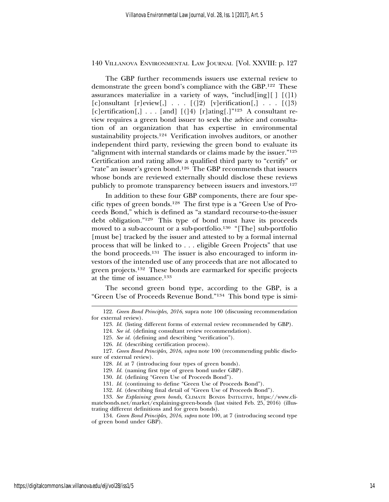The GBP further recommends issuers use external review to demonstrate the green bond's compliance with the GBP.122 These assurances materialize in a variety of ways, "includ[ing][  $| |(|1\rangle$ ] [c]onsultant [r]eview[,] . . .  $[(12)$  [v]erification[,] . . .  $[(13)$ [c]ertification[,] . . . [and]  $[(14)$  [r]ating[.]<sup>"123</sup> A consultant review requires a green bond issuer to seek the advice and consultation of an organization that has expertise in environmental sustainability projects.124 Verification involves auditors, or another independent third party, reviewing the green bond to evaluate its "alignment with internal standards or claims made by the issuer."125 Certification and rating allow a qualified third party to "certify" or "rate" an issuer's green bond.126 The GBP recommends that issuers whose bonds are reviewed externally should disclose these reviews publicly to promote transparency between issuers and investors.127

In addition to these four GBP components, there are four specific types of green bonds.128 The first type is a "Green Use of Proceeds Bond," which is defined as "a standard recourse-to-the-issuer debt obligation."129 This type of bond must have its proceeds moved to a sub-account or a sub-portfolio.<sup>130</sup> "[The] sub-portfolio [must be] tracked by the issuer and attested to by a formal internal process that will be linked to . . . eligible Green Projects" that use the bond proceeds.131 The issuer is also encouraged to inform investors of the intended use of any proceeds that are not allocated to green projects.132 These bonds are earmarked for specific projects at the time of issuance.133

The second green bond type, according to the GBP, is a "Green Use of Proceeds Revenue Bond."134 This bond type is simi-

<sup>122.</sup> *Green Bond Principles, 2016*, supra note 100 (discussing recommendation for external review).

<sup>123.</sup> *Id.* (listing different forms of external review recommended by GBP).

<sup>124.</sup> *See id.* (defining consultant review recommendation).

<sup>125.</sup> *See id.* (defining and describing "verification").

<sup>126.</sup> *Id.* (describing certification process).

<sup>127.</sup> *Green Bond Principles, 2016*, *supra* note 100 (recommending public disclosure of external review).

<sup>128.</sup> *Id.* at 7 (introducing four types of green bonds).

<sup>129.</sup> *Id.* (naming first type of green bond under GBP).

<sup>130.</sup> *Id.* (defining "Green Use of Proceeds Bond").

<sup>131.</sup> *Id.* (continuing to define "Green Use of Proceeds Bond").

<sup>132.</sup> *Id.* (describing final detail of "Green Use of Proceeds Bond").

<sup>133.</sup> *See Explaining green bonds*, CLIMATE BONDS INITIATIVE, https://www.climatebonds.net/market/explaining-green-bonds (last visited Feb. 25, 2016) (illustrating different definitions and for green bonds).

<sup>134.</sup> *Green Bond Principles, 2016*, *supra* note 100, at 7 (introducing second type of green bond under GBP).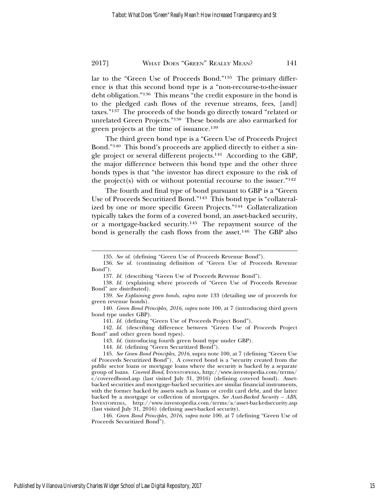lar to the "Green Use of Proceeds Bond."135 The primary difference is that this second bond type is a "non-recourse-to-the-issuer debt obligation."136 This means "the credit exposure in the bond is to the pledged cash flows of the revenue streams, fees, [and] taxes."137 The proceeds of the bonds go directly toward "related or unrelated Green Projects."138 These bonds are also earmarked for green projects at the time of issuance.139

The third green bond type is a "Green Use of Proceeds Project Bond."140 This bond's proceeds are applied directly to either a single project or several different projects.141 According to the GBP, the major difference between this bond type and the other three bonds types is that "the investor has direct exposure to the risk of the project(s) with or without potential recourse to the issuer." $142$ 

The fourth and final type of bond pursuant to GBP is a "Green Use of Proceeds Securitized Bond."143 This bond type is "collateralized by one or more specific Green Projects."144 Collateralization typically takes the form of a covered bond, an asset-backed security, or a mortgage-backed security.145 The repayment source of the bond is generally the cash flows from the asset.<sup>146</sup> The GBP also

141. *Id.* (defining "Green Use of Proceeds Project Bond").

142. *Id.* (describing difference between "Green Use of Proceeds Project Bond" and other green bond types).

143. *Id.* (introducing fourth green bond type under GBP).

144. *Id.* (defining "Green Securitized Bond").

146. *Green Bond Principles, 2016*, *supra* note 100, at 7 (defining "Green Use of Proceeds Securitized Bond").

<sup>135.</sup> *See id.* (defining "Green Use of Proceeds Revenue Bond").

<sup>136.</sup> *See id.* (continuing definition of "Green Use of Proceeds Revenue Bond").

<sup>137.</sup> *Id.* (describing "Green Use of Proceeds Revenue Bond").

<sup>138.</sup> *Id.* (explaining where proceeds of "Green Use of Proceeds Revenue Bond" are distributed).

<sup>139.</sup> *See Explaining green bonds*, *supra* note 133 (detailing use of proceeds for green revenue bonds).

<sup>140.</sup> *Green Bond Principles, 2016*, *supra* note 100, at 7 (introducing third green bond type under GBP).

<sup>145.</sup> *See Green Bond Principles, 2016*, supra note 100, at 7 (defining "Green Use of Proceeds Securitized Bond"). A covered bond is a "security created from the public sector loans or mortgage loans where the security is backed by a separate group of loans. *Covered Bond*, INVESTOPEDIA, http://www.investopedia.com/terms/ c/coveredbond.asp (last visited July 31, 2016) (defining covered bond). Assetbacked securities and mortgage-backed securities are similar financial instruments, with the former backed by assets such as loans or credit card debt, and the latter backed by a mortgage or collection of mortgages. *See Asset-Backed Security – ABS*, INVESTOPEDIA, http://www.investopedia.com/terms/a/asset-backedsecurity.asp (last visited July 31, 2016) (defining asset-backed security).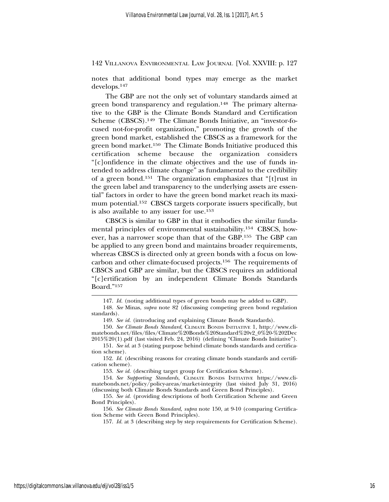notes that additional bond types may emerge as the market develops.147

The GBP are not the only set of voluntary standards aimed at green bond transparency and regulation.<sup>148</sup> The primary alternative to the GBP is the Climate Bonds Standard and Certification Scheme (CBSCS).<sup>149</sup> The Climate Bonds Initiative, an "investor-focused not-for-profit organization," promoting the growth of the green bond market, established the CBSCS as a framework for the green bond market.150 The Climate Bonds Initiative produced this certification scheme because the organization considers "[c]onfidence in the climate objectives and the use of funds intended to address climate change" as fundamental to the credibility of a green bond.151 The organization emphasizes that "[t]rust in the green label and transparency to the underlying assets are essential" factors in order to have the green bond market reach its maximum potential.<sup>152</sup> CBSCS targets corporate issuers specifically, but is also available to any issuer for use.153

CBSCS is similar to GBP in that it embodies the similar fundamental principles of environmental sustainability.154 CBSCS, however, has a narrower scope than that of the GBP.155 The GBP can be applied to any green bond and maintains broader requirements, whereas CBSCS is directed only at green bonds with a focus on lowcarbon and other climate-focused projects.156 The requirements of CBSCS and GBP are similar, but the CBSCS requires an additional "[c]ertification by an independent Climate Bonds Standards Board."157

<sup>147.</sup> *Id.* (noting additional types of green bonds may be added to GBP).

<sup>148.</sup> *See* Minas, *supra* note 82 (discussing competing green bond regulation standards).

<sup>149.</sup> *See id.* (introducing and explaining Climate Bonds Standards).

<sup>150.</sup> *See Climate Bonds Standard*, CLIMATE BONDS INITIATIVE 1, http://www.climatebonds.net/files/files/Climate%20Bonds%20Standard%20v2\_0%20-%202Dec 2015%20(1).pdf (last visited Feb. 24, 2016) (defining "Climate Bonds Initiative").

<sup>151.</sup> *See id*. at 3 (stating purpose behind climate bonds standards and certification scheme).

<sup>152.</sup> *Id.* (describing reasons for creating climate bonds standards and certification scheme).

<sup>153.</sup> *See id.* (describing target group for Certification Scheme).

<sup>154.</sup> *See Supporting Standards*, CLIMATE BONDS INITIATIVE https://www.climatebonds.net/policy/policy-areas/market-integrity (last visited July 31, 2016) (discussing both Climate Bonds Standards and Green Bond Principles).

<sup>155.</sup> *See id.* (providing descriptions of both Certification Scheme and Green Bond Principles).

<sup>156.</sup> *See Climate Bonds Standard*, *supra* note 150, at 9-10 (comparing Certification Scheme with Green Bond Principles).

<sup>157.</sup> *Id.* at 3 (describing step by step requirements for Certification Scheme).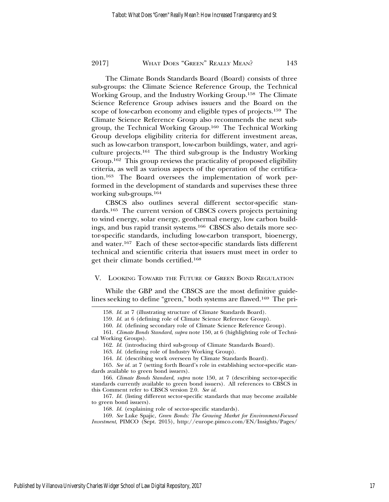The Climate Bonds Standards Board (Board) consists of three sub-groups: the Climate Science Reference Group, the Technical Working Group, and the Industry Working Group.158 The Climate Science Reference Group advises issuers and the Board on the scope of low-carbon economy and eligible types of projects.159 The Climate Science Reference Group also recommends the next subgroup, the Technical Working Group.160 The Technical Working Group develops eligibility criteria for different investment areas, such as low-carbon transport, low-carbon buildings, water, and agriculture projects.161 The third sub-group is the Industry Working Group.162 This group reviews the practicality of proposed eligibility criteria, as well as various aspects of the operation of the certification.163 The Board oversees the implementation of work performed in the development of standards and supervises these three working sub-groups.164

CBSCS also outlines several different sector-specific standards.165 The current version of CBSCS covers projects pertaining to wind energy, solar energy, geothermal energy, low carbon buildings, and bus rapid transit systems.166 CBSCS also details more sector-specific standards, including low-carbon transport, bioenergy, and water.167 Each of these sector-specific standards lists different technical and scientific criteria that issuers must meet in order to get their climate bonds certified.168

#### V. LOOKING TOWARD THE FUTURE OF GREEN BOND REGULATION

While the GBP and the CBSCS are the most definitive guidelines seeking to define "green," both systems are flawed.169 The pri-

<sup>158.</sup> *Id.* at 7 (illustrating structure of Climate Standards Board).

<sup>159.</sup> *Id.* at 6 (defining role of Climate Science Reference Group).

<sup>160.</sup> *Id.* (defining secondary role of Climate Science Reference Group).

<sup>161.</sup> *Climate Bonds Standard*, *supra* note 150, at 6 (highlighting role of Techni-

cal Working Groups).

<sup>162.</sup> *Id.* (introducing third sub-group of Climate Standards Board).

<sup>163.</sup> *Id.* (defining role of Industry Working Group).

<sup>164.</sup> *Id.* (describing work overseen by Climate Standards Board).

<sup>165.</sup> *See id.* at 7 (setting forth Board's role in establishing sector-specific standards available to green bond issuers).

<sup>166.</sup> *Climate Bonds Standard*, *supra* note 150, at 7 (describing sector-specific standards currently available to green bond issuers). All references to CBSCS in this Comment refer to CBSCS version 2.0. *See id.*

<sup>167.</sup> *Id.* (listing different sector-specific standards that may become available to green bond issuers).

<sup>168.</sup> *Id.* (explaining role of sector-specific standards).

<sup>169.</sup> *See* Luke Spajic, *Green Bonds: The Growing Market for Environment-Focused Investment*, PIMCO (Sept. 2015), http://europe.pimco.com/EN/Insights/Pages/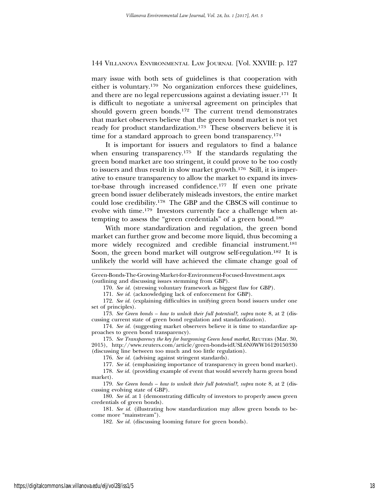mary issue with both sets of guidelines is that cooperation with either is voluntary.170 No organization enforces these guidelines, and there are no legal repercussions against a deviating issuer.171 It is difficult to negotiate a universal agreement on principles that should govern green bonds.172 The current trend demonstrates that market observers believe that the green bond market is not yet ready for product standardization.173 These observers believe it is time for a standard approach to green bond transparency.<sup>174</sup>

It is important for issuers and regulators to find a balance when ensuring transparency.<sup>175</sup> If the standards regulating the green bond market are too stringent, it could prove to be too costly to issuers and thus result in slow market growth.176 Still, it is imperative to ensure transparency to allow the market to expand its investor-base through increased confidence.177 If even one private green bond issuer deliberately misleads investors, the entire market could lose credibility.178 The GBP and the CBSCS will continue to evolve with time.179 Investors currently face a challenge when attempting to assess the "green credentials" of a green bond.180

With more standardization and regulation, the green bond market can further grow and become more liquid, thus becoming a more widely recognized and credible financial instrument.181 Soon, the green bond market will outgrow self-regulation.<sup>182</sup> It is unlikely the world will have achieved the climate change goal of

171. *See id.* (acknowledging lack of enforcement for GBP).

Green-Bonds-The-Growing-Market-for-Environment-Focused-Investment.aspx (outlining and discussing issues stemming from GBP).

<sup>170.</sup> *See id.* (stressing voluntary framework as biggest flaw for GBP).

<sup>172.</sup> *See id.* (explaining difficulties in unifying green bond issuers under one set of principles).

<sup>173.</sup> *See Green bonds – how to unlock their full potential?*, *supra* note 8, at 2 (discussing current state of green bond regulation and standardization).

<sup>174.</sup> *See id.* (suggesting market observers believe it is time to standardize approaches to green bond transparency).

<sup>175.</sup> *See Transparency the key for burgeoning Green bond market*, REUTERS (Mar. 30, 2015), http://www.reuters.com/article/green-bonds-idUSL6N0WW16120150330 (discussing line between too much and too little regulation).

<sup>176.</sup> *See id.* (advising against stringent standards).

<sup>177.</sup> *See id.* (emphasizing importance of transparency in green bond market).

<sup>178.</sup> *See id.* (providing example of event that would severely harm green bond market).

<sup>179.</sup> *See Green bonds – how to unlock their full potential?*, *supra* note 8, at 2 (discussing evolving state of GBP).

<sup>180.</sup> *See id.* at 1 (demonstrating difficulty of investors to properly assess green credentials of green bonds).

<sup>181.</sup> *See id.* (illustrating how standardization may allow green bonds to become more "mainstream").

<sup>182.</sup> *See id.* (discussing looming future for green bonds).